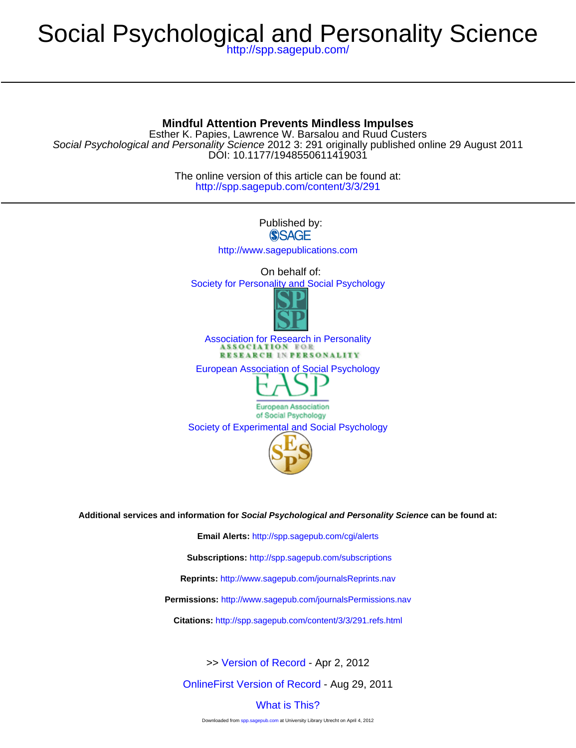# Social Psychological and Personality Science

<http://spp.sagepub.com/>

## **Mindful Attention Prevents Mindless Impulses**

DOI: 10.1177/1948550611419031 Social Psychological and Personality Science 2012 3: 291 originally published online 29 August 2011 Esther K. Papies, Lawrence W. Barsalou and Ruud Custers

> <http://spp.sagepub.com/content/3/3/291> The online version of this article can be found at:



**Additional services and information for Social Psychological and Personality Science can be found at:**

**Email Alerts:** <http://spp.sagepub.com/cgi/alerts>

**Subscriptions:** <http://spp.sagepub.com/subscriptions>

**Reprints:** <http://www.sagepub.com/journalsReprints.nav>

**Permissions:** <http://www.sagepub.com/journalsPermissions.nav>

**Citations:** <http://spp.sagepub.com/content/3/3/291.refs.html>

>> [Version of Record -](http://spp.sagepub.com/content/3/3/291.full.pdf) Apr 2, 2012

[OnlineFirst Version of Record](http://spp.sagepub.com/content/early/2011/08/15/1948550611419031.full.pdf) - Aug 29, 2011

## [What is This?](http://online.sagepub.com/site/sphelp/vorhelp.xhtml)

Downloaded from [spp.sagepub.com](http://spp.sagepub.com/) at University Library Utrecht on April 4, 2012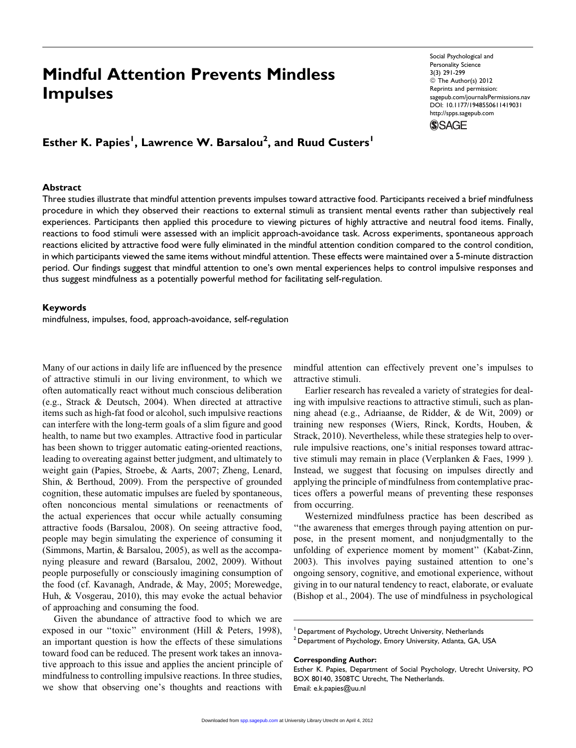## Mindful Attention Prevents Mindless Impulses

Social Psychological and Personality Science 3(3) 291-299 © The Author(s) 2012 Reprints and permission: sagepub.com/journalsPermissions.nav DOI: 10.1177/1948550611419031 http://spps.sagepub.com



## Esther K. Papies<sup>1</sup>, Lawrence W. Barsalou<sup>2</sup>, and Ruud Custers<sup>1</sup>

#### **Abstract**

Three studies illustrate that mindful attention prevents impulses toward attractive food. Participants received a brief mindfulness procedure in which they observed their reactions to external stimuli as transient mental events rather than subjectively real experiences. Participants then applied this procedure to viewing pictures of highly attractive and neutral food items. Finally, reactions to food stimuli were assessed with an implicit approach-avoidance task. Across experiments, spontaneous approach reactions elicited by attractive food were fully eliminated in the mindful attention condition compared to the control condition, in which participants viewed the same items without mindful attention. These effects were maintained over a 5-minute distraction period. Our findings suggest that mindful attention to one's own mental experiences helps to control impulsive responses and thus suggest mindfulness as a potentially powerful method for facilitating self-regulation.

#### Keywords

mindfulness, impulses, food, approach-avoidance, self-regulation

Many of our actions in daily life are influenced by the presence of attractive stimuli in our living environment, to which we often automatically react without much conscious deliberation (e.g., Strack & Deutsch, 2004). When directed at attractive items such as high-fat food or alcohol, such impulsive reactions can interfere with the long-term goals of a slim figure and good health, to name but two examples. Attractive food in particular has been shown to trigger automatic eating-oriented reactions, leading to overeating against better judgment, and ultimately to weight gain (Papies, Stroebe, & Aarts, 2007; Zheng, Lenard, Shin, & Berthoud, 2009). From the perspective of grounded cognition, these automatic impulses are fueled by spontaneous, often nonconcious mental simulations or reenactments of the actual experiences that occur while actually consuming attractive foods (Barsalou, 2008). On seeing attractive food, people may begin simulating the experience of consuming it (Simmons, Martin, & Barsalou, 2005), as well as the accompanying pleasure and reward (Barsalou, 2002, 2009). Without people purposefully or consciously imagining consumption of the food (cf. Kavanagh, Andrade, & May, 2005; Morewedge, Huh, & Vosgerau, 2010), this may evoke the actual behavior of approaching and consuming the food.

Given the abundance of attractive food to which we are exposed in our ''toxic'' environment (Hill & Peters, 1998), an important question is how the effects of these simulations toward food can be reduced. The present work takes an innovative approach to this issue and applies the ancient principle of mindfulness to controlling impulsive reactions. In three studies, we show that observing one's thoughts and reactions with

mindful attention can effectively prevent one's impulses to attractive stimuli.

Earlier research has revealed a variety of strategies for dealing with impulsive reactions to attractive stimuli, such as planning ahead (e.g., Adriaanse, de Ridder, & de Wit, 2009) or training new responses (Wiers, Rinck, Kordts, Houben, & Strack, 2010). Nevertheless, while these strategies help to overrule impulsive reactions, one's initial responses toward attractive stimuli may remain in place (Verplanken & Faes, 1999 ). Instead, we suggest that focusing on impulses directly and applying the principle of mindfulness from contemplative practices offers a powerful means of preventing these responses from occurring.

Westernized mindfulness practice has been described as ''the awareness that emerges through paying attention on purpose, in the present moment, and nonjudgmentally to the unfolding of experience moment by moment" (Kabat-Zinn, 2003). This involves paying sustained attention to one's ongoing sensory, cognitive, and emotional experience, without giving in to our natural tendency to react, elaborate, or evaluate (Bishop et al., 2004). The use of mindfulness in psychological

#### Corresponding Author:

Department of Psychology, Utrecht University, Netherlands

<sup>&</sup>lt;sup>2</sup> Department of Psychology, Emory University, Atlanta, GA, USA

Esther K. Papies, Department of Social Psychology, Utrecht University, PO BOX 80140, 3508TC Utrecht, The Netherlands. Email: e.k.papies@uu.nl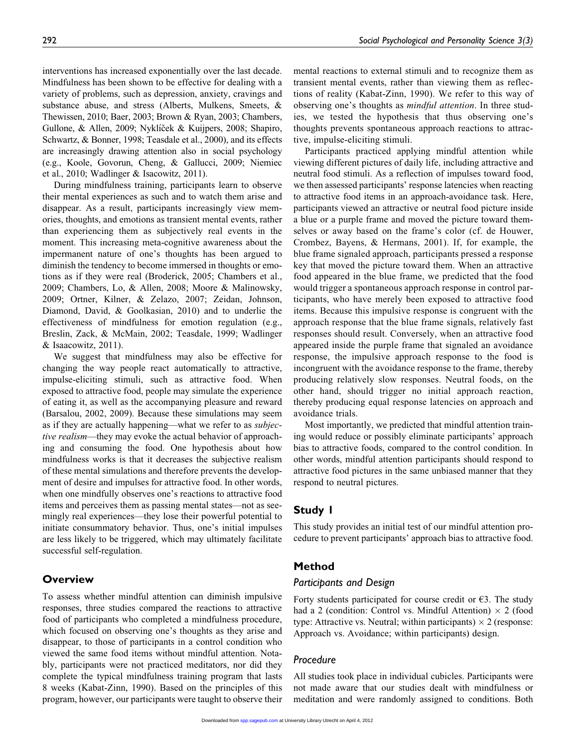interventions has increased exponentially over the last decade. Mindfulness has been shown to be effective for dealing with a variety of problems, such as depression, anxiety, cravings and substance abuse, and stress (Alberts, Mulkens, Smeets, & Thewissen, 2010; Baer, 2003; Brown & Ryan, 2003; Chambers, Gullone, & Allen, 2009; Nyklíček & Kuijpers, 2008; Shapiro, Schwartz, & Bonner, 1998; Teasdale et al., 2000), and its effects are increasingly drawing attention also in social psychology (e.g., Koole, Govorun, Cheng, & Gallucci, 2009; Niemiec et al., 2010; Wadlinger & Isacowitz, 2011).

During mindfulness training, participants learn to observe their mental experiences as such and to watch them arise and disappear. As a result, participants increasingly view memories, thoughts, and emotions as transient mental events, rather than experiencing them as subjectively real events in the moment. This increasing meta-cognitive awareness about the impermanent nature of one's thoughts has been argued to diminish the tendency to become immersed in thoughts or emotions as if they were real (Broderick, 2005; Chambers et al., 2009; Chambers, Lo, & Allen, 2008; Moore & Malinowsky, 2009; Ortner, Kilner, & Zelazo, 2007; Zeidan, Johnson, Diamond, David, & Goolkasian, 2010) and to underlie the effectiveness of mindfulness for emotion regulation (e.g., Breslin, Zack, & McMain, 2002; Teasdale, 1999; Wadlinger & Isaacowitz, 2011).

We suggest that mindfulness may also be effective for changing the way people react automatically to attractive, impulse-eliciting stimuli, such as attractive food. When exposed to attractive food, people may simulate the experience of eating it, as well as the accompanying pleasure and reward (Barsalou, 2002, 2009). Because these simulations may seem as if they are actually happening—what we refer to as subjective realism—they may evoke the actual behavior of approaching and consuming the food. One hypothesis about how mindfulness works is that it decreases the subjective realism of these mental simulations and therefore prevents the development of desire and impulses for attractive food. In other words, when one mindfully observes one's reactions to attractive food items and perceives them as passing mental states—not as seemingly real experiences—they lose their powerful potential to initiate consummatory behavior. Thus, one's initial impulses are less likely to be triggered, which may ultimately facilitate successful self-regulation.

## **Overview**

To assess whether mindful attention can diminish impulsive responses, three studies compared the reactions to attractive food of participants who completed a mindfulness procedure, which focused on observing one's thoughts as they arise and disappear, to those of participants in a control condition who viewed the same food items without mindful attention. Notably, participants were not practiced meditators, nor did they complete the typical mindfulness training program that lasts 8 weeks (Kabat-Zinn, 1990). Based on the principles of this program, however, our participants were taught to observe their

mental reactions to external stimuli and to recognize them as transient mental events, rather than viewing them as reflections of reality (Kabat-Zinn, 1990). We refer to this way of observing one's thoughts as mindful attention. In three studies, we tested the hypothesis that thus observing one's thoughts prevents spontaneous approach reactions to attractive, impulse-eliciting stimuli.

Participants practiced applying mindful attention while viewing different pictures of daily life, including attractive and neutral food stimuli. As a reflection of impulses toward food, we then assessed participants' response latencies when reacting to attractive food items in an approach-avoidance task. Here, participants viewed an attractive or neutral food picture inside a blue or a purple frame and moved the picture toward themselves or away based on the frame's color (cf. de Houwer, Crombez, Bayens, & Hermans, 2001). If, for example, the blue frame signaled approach, participants pressed a response key that moved the picture toward them. When an attractive food appeared in the blue frame, we predicted that the food would trigger a spontaneous approach response in control participants, who have merely been exposed to attractive food items. Because this impulsive response is congruent with the approach response that the blue frame signals, relatively fast responses should result. Conversely, when an attractive food appeared inside the purple frame that signaled an avoidance response, the impulsive approach response to the food is incongruent with the avoidance response to the frame, thereby producing relatively slow responses. Neutral foods, on the other hand, should trigger no initial approach reaction, thereby producing equal response latencies on approach and avoidance trials.

Most importantly, we predicted that mindful attention training would reduce or possibly eliminate participants' approach bias to attractive foods, compared to the control condition. In other words, mindful attention participants should respond to attractive food pictures in the same unbiased manner that they respond to neutral pictures.

## Study 1

This study provides an initial test of our mindful attention procedure to prevent participants' approach bias to attractive food.

### Method

#### Participants and Design

Forty students participated for course credit or  $\epsilon$ 3. The study had a 2 (condition: Control vs. Mindful Attention)  $\times$  2 (food type: Attractive vs. Neutral; within participants)  $\times$  2 (response: Approach vs. Avoidance; within participants) design.

#### Procedure

All studies took place in individual cubicles. Participants were not made aware that our studies dealt with mindfulness or meditation and were randomly assigned to conditions. Both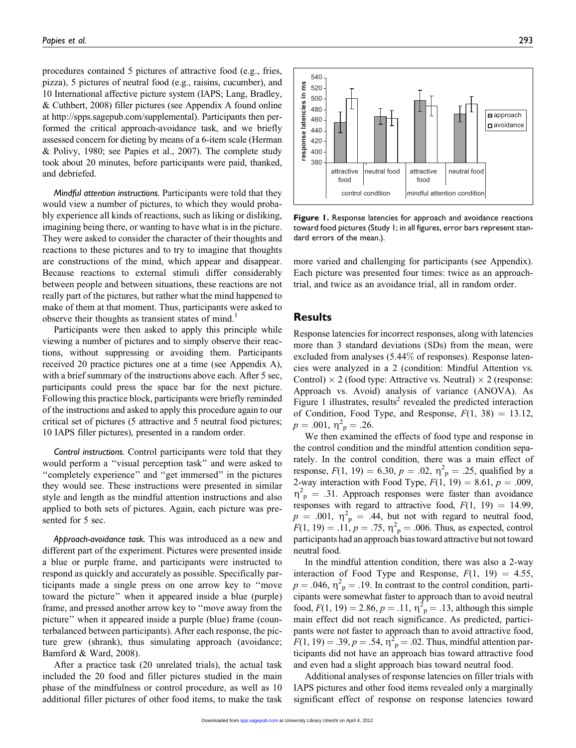procedures contained 5 pictures of attractive food (e.g., fries, pizza), 5 pictures of neutral food (e.g., raisins, cucumber), and 10 International affective picture system (IAPS; Lang, Bradley, & Cuthbert, 2008) filler pictures (see Appendix A found online at http://spps.sagepub.com/supplemental). Participants then performed the critical approach-avoidance task, and we briefly assessed concern for dieting by means of a 6-item scale (Herman & Polivy, 1980; see Papies et al., 2007). The complete study took about 20 minutes, before participants were paid, thanked, and debriefed.

Mindful attention instructions. Participants were told that they would view a number of pictures, to which they would probably experience all kinds of reactions, such as liking or disliking, imagining being there, or wanting to have what is in the picture. They were asked to consider the character of their thoughts and reactions to these pictures and to try to imagine that thoughts are constructions of the mind, which appear and disappear. Because reactions to external stimuli differ considerably between people and between situations, these reactions are not really part of the pictures, but rather what the mind happened to make of them at that moment. Thus, participants were asked to observe their thoughts as transient states of mind.<sup>1</sup>

Participants were then asked to apply this principle while viewing a number of pictures and to simply observe their reactions, without suppressing or avoiding them. Participants received 20 practice pictures one at a time (see Appendix A), with a brief summary of the instructions above each. After 5 sec, participants could press the space bar for the next picture. Following this practice block, participants were briefly reminded of the instructions and asked to apply this procedure again to our critical set of pictures (5 attractive and 5 neutral food pictures; 10 IAPS filler pictures), presented in a random order.

Control instructions. Control participants were told that they would perform a ''visual perception task'' and were asked to ''completely experience'' and ''get immersed'' in the pictures they would see. These instructions were presented in similar style and length as the mindful attention instructions and also applied to both sets of pictures. Again, each picture was presented for 5 sec.

Approach-avoidance task. This was introduced as a new and different part of the experiment. Pictures were presented inside a blue or purple frame, and participants were instructed to respond as quickly and accurately as possible. Specifically participants made a single press on one arrow key to ''move toward the picture'' when it appeared inside a blue (purple) frame, and pressed another arrow key to ''move away from the picture'' when it appeared inside a purple (blue) frame (counterbalanced between participants). After each response, the picture grew (shrank), thus simulating approach (avoidance; Bamford & Ward, 2008).

After a practice task (20 unrelated trials), the actual task included the 20 food and filler pictures studied in the main phase of the mindfulness or control procedure, as well as 10 additional filler pictures of other food items, to make the task



Figure 1. Response latencies for approach and avoidance reactions toward food pictures (Study 1; in all figures, error bars represent standard errors of the mean.).

more varied and challenging for participants (see Appendix). Each picture was presented four times: twice as an approachtrial, and twice as an avoidance trial, all in random order.

#### Results

Response latencies for incorrect responses, along with latencies more than 3 standard deviations (SDs) from the mean, were excluded from analyses (5.44% of responses). Response latencies were analyzed in a 2 (condition: Mindful Attention vs. Control)  $\times$  2 (food type: Attractive vs. Neutral)  $\times$  2 (response: Approach vs. Avoid) analysis of variance (ANOVA). As Figure 1 illustrates, results<sup>2</sup> revealed the predicted interaction of Condition, Food Type, and Response,  $F(1, 38) = 13.12$ ,  $p = .001, \eta_{\text{p}}^2 = .26.$ 

We then examined the effects of food type and response in the control condition and the mindful attention condition separately. In the control condition, there was a main effect of response,  $F(1, 19) = 6.30, p = .02, \eta^2_p = .25$ , qualified by a 2-way interaction with Food Type,  $F(1, 19) = 8.61, p = .009$ ,  $\eta_{\text{p}}^2$  = .31. Approach responses were faster than avoidance responses with regard to attractive food,  $F(1, 19) = 14.99$ ,  $p = .001$ ,  $\eta_p^2 = .44$ , but not with regard to neutral food,  $F(1, 19) = .11, p = .75, \eta^2_p = .006$ . Thus, as expected, control participants had an approach bias toward attractive but not toward neutral food.

In the mindful attention condition, there was also a 2-way interaction of Food Type and Response,  $F(1, 19) = 4.55$ ,  $p = .046$ ,  $\eta^2$ <sub>p</sub> = .19. In contrast to the control condition, participants were somewhat faster to approach than to avoid neutral food,  $F(1, 19) = 2.86$ ,  $p = .11$ ,  $\eta_{p}^{2} = .13$ , although this simple main effect did not reach significance. As predicted, participants were not faster to approach than to avoid attractive food,  $F(1, 19) = .39, p = .54, \eta^{2}_{p} = .02$ . Thus, mindful attention participants did not have an approach bias toward attractive food and even had a slight approach bias toward neutral food.

Additional analyses of response latencies on filler trials with IAPS pictures and other food items revealed only a marginally significant effect of response on response latencies toward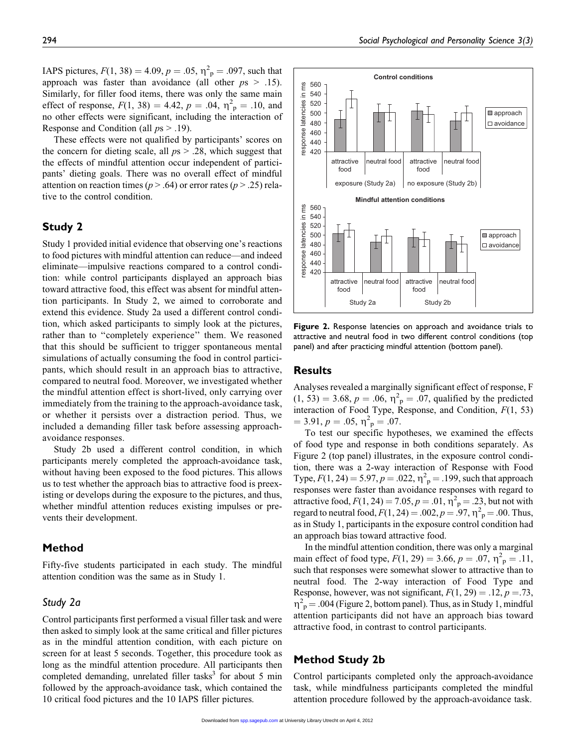IAPS pictures,  $F(1, 38) = 4.09$ ,  $p = .05$ ,  $\eta_p^2 = .097$ , such that approach was faster than avoidance (all other  $ps > .15$ ). Similarly, for filler food items, there was only the same main effect of response,  $F(1, 38) = 4.42$ ,  $p = .04$ ,  $\eta_{\text{p}}^2 = .10$ , and no other effects were significant, including the interaction of Response and Condition (all  $ps > .19$ ).

These effects were not qualified by participants' scores on the concern for dieting scale, all  $ps > .28$ , which suggest that the effects of mindful attention occur independent of participants' dieting goals. There was no overall effect of mindful attention on reaction times ( $p > .64$ ) or error rates ( $p > .25$ ) relative to the control condition.

#### Study 2

Study 1 provided initial evidence that observing one's reactions to food pictures with mindful attention can reduce—and indeed eliminate—impulsive reactions compared to a control condition: while control participants displayed an approach bias toward attractive food, this effect was absent for mindful attention participants. In Study 2, we aimed to corroborate and extend this evidence. Study 2a used a different control condition, which asked participants to simply look at the pictures, rather than to ''completely experience'' them. We reasoned that this should be sufficient to trigger spontaneous mental simulations of actually consuming the food in control participants, which should result in an approach bias to attractive, compared to neutral food. Moreover, we investigated whether the mindful attention effect is short-lived, only carrying over immediately from the training to the approach-avoidance task, or whether it persists over a distraction period. Thus, we included a demanding filler task before assessing approachavoidance responses.

Study 2b used a different control condition, in which participants merely completed the approach-avoidance task, without having been exposed to the food pictures. This allows us to test whether the approach bias to attractive food is preexisting or develops during the exposure to the pictures, and thus, whether mindful attention reduces existing impulses or prevents their development.

#### Method

Fifty-five students participated in each study. The mindful attention condition was the same as in Study 1.

#### Study 2a

Control participants first performed a visual filler task and were then asked to simply look at the same critical and filler pictures as in the mindful attention condition, with each picture on screen for at least 5 seconds. Together, this procedure took as long as the mindful attention procedure. All participants then completed demanding, unrelated filler tasks<sup>3</sup> for about 5 min followed by the approach-avoidance task, which contained the 10 critical food pictures and the 10 IAPS filler pictures.



Figure 2. Response latencies on approach and avoidance trials to attractive and neutral food in two different control conditions (top panel) and after practicing mindful attention (bottom panel).

#### Results

Analyses revealed a marginally significant effect of response, F  $(1, 53) = 3.68, p = .06, \eta^2_p = .07$ , qualified by the predicted interaction of Food Type, Response, and Condition,  $F(1, 53)$  $= 3.91, p = .05, \eta_{p}^{2} = .07.$ 

To test our specific hypotheses, we examined the effects of food type and response in both conditions separately. As Figure 2 (top panel) illustrates, in the exposure control condition, there was a 2-way interaction of Response with Food Type,  $F(1, 24) = 5.97, p = .022, \eta^2_p = .199$ , such that approach responses were faster than avoidance responses with regard to attractive food,  $F(1, 24) = 7.05$ ,  $p = .01$ ,  $\overline{p}_p^2 = .23$ , but not with regard to neutral food,  $F(1, 24) = .002$ ,  $p = .97$ ,  $\eta^2_{\text{p}} = .00$ . Thus, as in Study 1, participants in the exposure control condition had an approach bias toward attractive food.

In the mindful attention condition, there was only a marginal main effect of food type,  $F(1, 29) = 3.66$ ,  $p = .07$ ,  $\eta_p^2 = .11$ , such that responses were somewhat slower to attractive than to neutral food. The 2-way interaction of Food Type and Response, however, was not significant,  $F(1, 29) = .12, p = .73$ ,  $\eta^2$ <sub>p</sub> = .004 (Figure 2, bottom panel). Thus, as in Study 1, mindful attention participants did not have an approach bias toward attractive food, in contrast to control participants.

#### Method Study 2b

Control participants completed only the approach-avoidance task, while mindfulness participants completed the mindful attention procedure followed by the approach-avoidance task.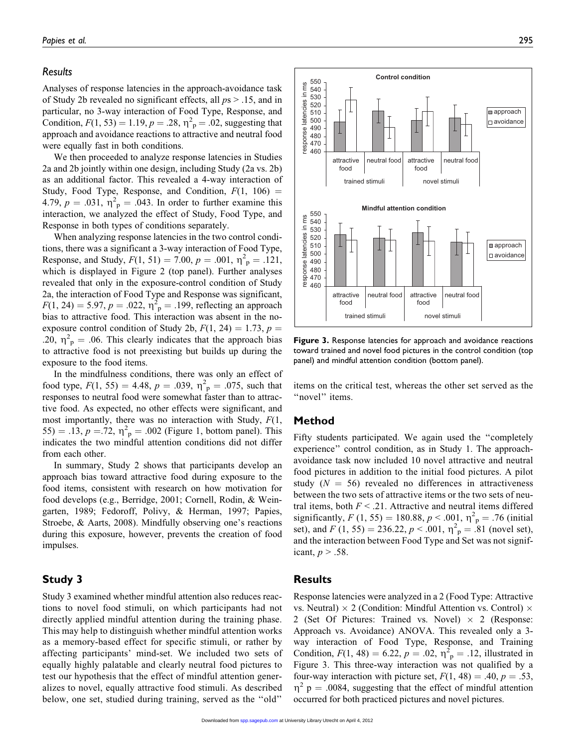#### **Results**

Analyses of response latencies in the approach-avoidance task of Study 2b revealed no significant effects, all  $ps > .15$ , and in particular, no 3-way interaction of Food Type, Response, and Condition,  $F(1, 53) = 1.19, p = .28, \eta^2_p = .02$ , suggesting that approach and avoidance reactions to attractive and neutral food were equally fast in both conditions.

We then proceeded to analyze response latencies in Studies 2a and 2b jointly within one design, including Study (2a vs. 2b) as an additional factor. This revealed a 4-way interaction of Study, Food Type, Response, and Condition,  $F(1, 106) =$ 4.79,  $p = .031$ ,  $\eta^2$ <sub>p</sub> = .043. In order to further examine this interaction, we analyzed the effect of Study, Food Type, and Response in both types of conditions separately.

When analyzing response latencies in the two control conditions, there was a significant a 3-way interaction of Food Type, Response, and Study,  $F(1, 51) = 7.00, p = .001, \eta_{p}^{2} = .121,$ which is displayed in Figure 2 (top panel). Further analyses revealed that only in the exposure-control condition of Study 2a, the interaction of Food Type and Response was significant,  $F(1, 24) = 5.97, p = .022, \eta^2_p = .199$ , reflecting an approach bias to attractive food. This interaction was absent in the noexposure control condition of Study 2b,  $F(1, 24) = 1.73$ ,  $p =$ .20,  $\eta^2$ <sub>p</sub> = .06. This clearly indicates that the approach bias to attractive food is not preexisting but builds up during the exposure to the food items.

In the mindfulness conditions, there was only an effect of food type,  $F(1, 55) = 4.48$ ,  $p = .039$ ,  $\eta_{\text{p}}^2 = .075$ , such that responses to neutral food were somewhat faster than to attractive food. As expected, no other effects were significant, and most importantly, there was no interaction with Study,  $F(1, 1)$ 55) = .13,  $p = .72$ ,  $\eta_p^2 = .002$  (Figure 1, bottom panel). This indicates the two mindful attention conditions did not differ from each other.

In summary, Study 2 shows that participants develop an approach bias toward attractive food during exposure to the food items, consistent with research on how motivation for food develops (e.g., Berridge, 2001; Cornell, Rodin, & Weingarten, 1989; Fedoroff, Polivy, & Herman, 1997; Papies, Stroebe, & Aarts, 2008). Mindfully observing one's reactions during this exposure, however, prevents the creation of food impulses.

#### Study 3

Study 3 examined whether mindful attention also reduces reactions to novel food stimuli, on which participants had not directly applied mindful attention during the training phase. This may help to distinguish whether mindful attention works as a memory-based effect for specific stimuli, or rather by affecting participants' mind-set. We included two sets of equally highly palatable and clearly neutral food pictures to test our hypothesis that the effect of mindful attention generalizes to novel, equally attractive food stimuli. As described below, one set, studied during training, served as the ''old''



Figure 3. Response latencies for approach and avoidance reactions toward trained and novel food pictures in the control condition (top panel) and mindful attention condition (bottom panel).

items on the critical test, whereas the other set served as the "novel" items.

#### Method

Fifty students participated. We again used the ''completely experience'' control condition, as in Study 1. The approachavoidance task now included 10 novel attractive and neutral food pictures in addition to the initial food pictures. A pilot study  $(N = 56)$  revealed no differences in attractiveness between the two sets of attractive items or the two sets of neutral items, both  $F < .21$ . Attractive and neutral items differed significantly,  $F(1, 55) = 180.88, p < .001, \eta_{p}^{2} = .76$  (initial set), and  $F(1, 55) = 236.22, p < .001, \eta^2_p = .81$  (novel set), and the interaction between Food Type and Set was not significant,  $p > .58$ .

#### Results

Response latencies were analyzed in a 2 (Food Type: Attractive vs. Neutral)  $\times$  2 (Condition: Mindful Attention vs. Control)  $\times$ 2 (Set Of Pictures: Trained vs. Novel)  $\times$  2 (Response: Approach vs. Avoidance) ANOVA. This revealed only a 3 way interaction of Food Type, Response, and Training Condition,  $F(1, 48) = 6.22$ ,  $p = .02$ ,  $\eta_{p}^{2} = .12$ , illustrated in Figure 3. This three-way interaction was not qualified by a four-way interaction with picture set,  $F(1, 48) = .40, p = .53$ ,  $\eta^2$  p = .0084, suggesting that the effect of mindful attention occurred for both practiced pictures and novel pictures.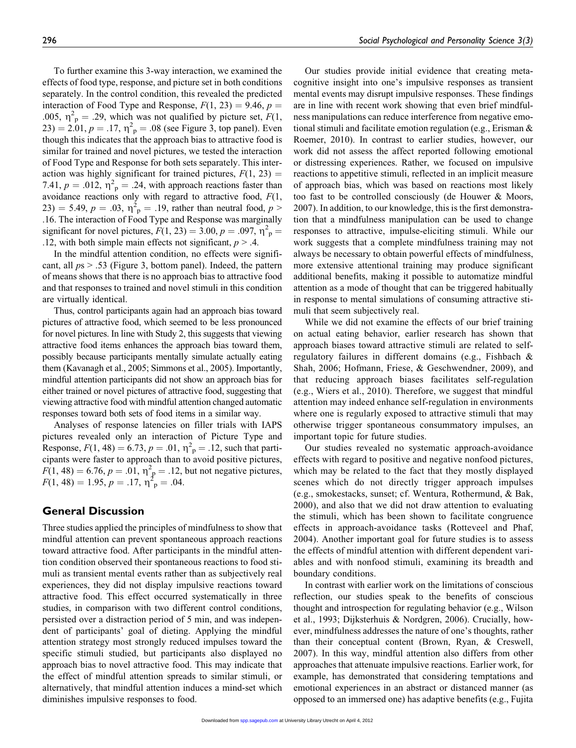To further examine this 3-way interaction, we examined the effects of food type, response, and picture set in both conditions separately. In the control condition, this revealed the predicted interaction of Food Type and Response,  $F(1, 23) = 9.46$ ,  $p =$ .005,  $\eta_{\text{p}}^2 = .29$ , which was not qualified by picture set,  $F(1, 1)$  $(23) = 2.01, p = .17, \eta^2_p = .08$  (see Figure 3, top panel). Even though this indicates that the approach bias to attractive food is similar for trained and novel pictures, we tested the interaction of Food Type and Response for both sets separately. This interaction was highly significant for trained pictures,  $F(1, 23) =$ 7.41,  $p = .012$ ,  $\eta^2$ <sub>p</sub> = .24, with approach reactions faster than avoidance reactions only with regard to attractive food,  $F(1, 1)$ 23) = 5.49,  $p = .03$ ,  $\eta_p^2 = .19$ , rather than neutral food,  $p >$ .16. The interaction of Food Type and Response was marginally significant for novel pictures,  $F(1, 23) = 3.00, p = .097, \eta^2_{\text{p}} =$ .12, with both simple main effects not significant,  $p > .4$ .

In the mindful attention condition, no effects were significant, all  $ps > .53$  (Figure 3, bottom panel). Indeed, the pattern of means shows that there is no approach bias to attractive food and that responses to trained and novel stimuli in this condition are virtually identical.

Thus, control participants again had an approach bias toward pictures of attractive food, which seemed to be less pronounced for novel pictures. In line with Study 2, this suggests that viewing attractive food items enhances the approach bias toward them, possibly because participants mentally simulate actually eating them (Kavanagh et al., 2005; Simmons et al., 2005). Importantly, mindful attention participants did not show an approach bias for either trained or novel pictures of attractive food, suggesting that viewing attractive food with mindful attention changed automatic responses toward both sets of food items in a similar way.

Analyses of response latencies on filler trials with IAPS pictures revealed only an interaction of Picture Type and Response,  $F(1, 48) = 6.73$ ,  $p = .01$ ,  $\eta_p^2 = .12$ , such that participants were faster to approach than to avoid positive pictures,  $F(1, 48) = 6.76, p = .01, \eta_{p}^{2} = .12$ , but not negative pictures,  $F(1, 48) = 1.95, p = .17, \eta_{p}^{2} = .04.$ 

#### General Discussion

Three studies applied the principles of mindfulness to show that mindful attention can prevent spontaneous approach reactions toward attractive food. After participants in the mindful attention condition observed their spontaneous reactions to food stimuli as transient mental events rather than as subjectively real experiences, they did not display impulsive reactions toward attractive food. This effect occurred systematically in three studies, in comparison with two different control conditions, persisted over a distraction period of 5 min, and was independent of participants' goal of dieting. Applying the mindful attention strategy most strongly reduced impulses toward the specific stimuli studied, but participants also displayed no approach bias to novel attractive food. This may indicate that the effect of mindful attention spreads to similar stimuli, or alternatively, that mindful attention induces a mind-set which diminishes impulsive responses to food.

Our studies provide initial evidence that creating metacognitive insight into one's impulsive responses as transient mental events may disrupt impulsive responses. These findings are in line with recent work showing that even brief mindfulness manipulations can reduce interference from negative emotional stimuli and facilitate emotion regulation (e.g., Erisman & Roemer, 2010). In contrast to earlier studies, however, our work did not assess the affect reported following emotional or distressing experiences. Rather, we focused on impulsive reactions to appetitive stimuli, reflected in an implicit measure of approach bias, which was based on reactions most likely too fast to be controlled consciously (de Houwer & Moors, 2007). In addition, to our knowledge, this is the first demonstration that a mindfulness manipulation can be used to change responses to attractive, impulse-eliciting stimuli. While our work suggests that a complete mindfulness training may not always be necessary to obtain powerful effects of mindfulness, more extensive attentional training may produce significant additional benefits, making it possible to automatize mindful attention as a mode of thought that can be triggered habitually in response to mental simulations of consuming attractive stimuli that seem subjectively real.

While we did not examine the effects of our brief training on actual eating behavior, earlier research has shown that approach biases toward attractive stimuli are related to selfregulatory failures in different domains (e.g., Fishbach & Shah, 2006; Hofmann, Friese, & Geschwendner, 2009), and that reducing approach biases facilitates self-regulation (e.g., Wiers et al., 2010). Therefore, we suggest that mindful attention may indeed enhance self-regulation in environments where one is regularly exposed to attractive stimuli that may otherwise trigger spontaneous consummatory impulses, an important topic for future studies.

Our studies revealed no systematic approach-avoidance effects with regard to positive and negative nonfood pictures, which may be related to the fact that they mostly displayed scenes which do not directly trigger approach impulses (e.g., smokestacks, sunset; cf. Wentura, Rothermund, & Bak, 2000), and also that we did not draw attention to evaluating the stimuli, which has been shown to facilitate congruence effects in approach-avoidance tasks (Rotteveel and Phaf, 2004). Another important goal for future studies is to assess the effects of mindful attention with different dependent variables and with nonfood stimuli, examining its breadth and boundary conditions.

In contrast with earlier work on the limitations of conscious reflection, our studies speak to the benefits of conscious thought and introspection for regulating behavior (e.g., Wilson et al., 1993; Dijksterhuis & Nordgren, 2006). Crucially, however, mindfulness addresses the nature of one's thoughts, rather than their conceptual content (Brown, Ryan, & Creswell, 2007). In this way, mindful attention also differs from other approaches that attenuate impulsive reactions. Earlier work, for example, has demonstrated that considering temptations and emotional experiences in an abstract or distanced manner (as opposed to an immersed one) has adaptive benefits (e.g., Fujita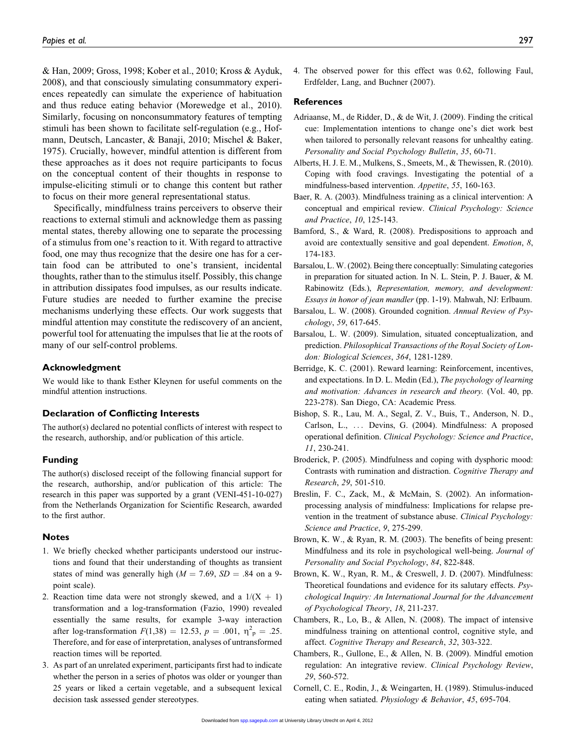& Han, 2009; Gross, 1998; Kober et al., 2010; Kross & Ayduk, 2008), and that consciously simulating consummatory experiences repeatedly can simulate the experience of habituation and thus reduce eating behavior (Morewedge et al., 2010). Similarly, focusing on nonconsummatory features of tempting stimuli has been shown to facilitate self-regulation (e.g., Hofmann, Deutsch, Lancaster, & Banaji, 2010; Mischel & Baker, 1975). Crucially, however, mindful attention is different from these approaches as it does not require participants to focus on the conceptual content of their thoughts in response to impulse-eliciting stimuli or to change this content but rather to focus on their more general representational status.

Specifically, mindfulness trains perceivers to observe their reactions to external stimuli and acknowledge them as passing mental states, thereby allowing one to separate the processing of a stimulus from one's reaction to it. With regard to attractive food, one may thus recognize that the desire one has for a certain food can be attributed to one's transient, incidental thoughts, rather than to the stimulus itself. Possibly, this change in attribution dissipates food impulses, as our results indicate. Future studies are needed to further examine the precise mechanisms underlying these effects. Our work suggests that mindful attention may constitute the rediscovery of an ancient, powerful tool for attenuating the impulses that lie at the roots of many of our self-control problems.

#### Acknowledgment

We would like to thank Esther Kleynen for useful comments on the mindful attention instructions.

#### Declaration of Conflicting Interests

The author(s) declared no potential conflicts of interest with respect to the research, authorship, and/or publication of this article.

#### Funding

The author(s) disclosed receipt of the following financial support for the research, authorship, and/or publication of this article: The research in this paper was supported by a grant (VENI-451-10-027) from the Netherlands Organization for Scientific Research, awarded to the first author.

#### **Notes**

- 1. We briefly checked whether participants understood our instructions and found that their understanding of thoughts as transient states of mind was generally high ( $M = 7.69$ ,  $SD = .84$  on a 9point scale).
- 2. Reaction time data were not strongly skewed, and a  $1/(X + 1)$ transformation and a log-transformation (Fazio, 1990) revealed essentially the same results, for example 3-way interaction after log-transformation  $F(1,38) = 12.53, p = .001, \eta_{p}^{2} = .25.$ Therefore, and for ease of interpretation, analyses of untransformed reaction times will be reported.
- 3. As part of an unrelated experiment, participants first had to indicate whether the person in a series of photos was older or younger than 25 years or liked a certain vegetable, and a subsequent lexical decision task assessed gender stereotypes.

4. The observed power for this effect was 0.62, following Faul, Erdfelder, Lang, and Buchner (2007).

#### References

- Adriaanse, M., de Ridder, D., & de Wit, J. (2009). Finding the critical cue: Implementation intentions to change one's diet work best when tailored to personally relevant reasons for unhealthy eating. Personality and Social Psychology Bulletin, 35, 60-71.
- Alberts, H. J. E. M., Mulkens, S., Smeets, M., & Thewissen, R. (2010). Coping with food cravings. Investigating the potential of a mindfulness-based intervention. Appetite, 55, 160-163.
- Baer, R. A. (2003). Mindfulness training as a clinical intervention: A conceptual and empirical review. Clinical Psychology: Science and Practice, 10, 125-143.
- Bamford, S., & Ward, R. (2008). Predispositions to approach and avoid are contextually sensitive and goal dependent. Emotion, 8, 174-183.
- Barsalou, L. W. (2002). Being there conceptually: Simulating categories in preparation for situated action. In N. L. Stein, P. J. Bauer, & M. Rabinowitz (Eds.), Representation, memory, and development: Essays in honor of jean mandler (pp. 1-19). Mahwah, NJ: Erlbaum.
- Barsalou, L. W. (2008). Grounded cognition. Annual Review of Psychology, 59, 617-645.
- Barsalou, L. W. (2009). Simulation, situated conceptualization, and prediction. Philosophical Transactions of the Royal Society of London: Biological Sciences, 364, 1281-1289.
- Berridge, K. C. (2001). Reward learning: Reinforcement, incentives, and expectations. In D. L. Medin (Ed.), The psychology of learning and motivation: Advances in research and theory. (Vol. 40, pp. 223-278). San Diego, CA: Academic Press.
- Bishop, S. R., Lau, M. A., Segal, Z. V., Buis, T., Anderson, N. D., Carlson, L., ... Devins, G. (2004). Mindfulness: A proposed operational definition. Clinical Psychology: Science and Practice, 11, 230-241.
- Broderick, P. (2005). Mindfulness and coping with dysphoric mood: Contrasts with rumination and distraction. Cognitive Therapy and Research, 29, 501-510.
- Breslin, F. C., Zack, M., & McMain, S. (2002). An informationprocessing analysis of mindfulness: Implications for relapse prevention in the treatment of substance abuse. Clinical Psychology: Science and Practice, 9, 275-299.
- Brown, K. W., & Ryan, R. M. (2003). The benefits of being present: Mindfulness and its role in psychological well-being. Journal of Personality and Social Psychology, 84, 822-848.
- Brown, K. W., Ryan, R. M., & Creswell, J. D. (2007). Mindfulness: Theoretical foundations and evidence for its salutary effects. Psychological Inquiry: An International Journal for the Advancement of Psychological Theory, 18, 211-237.
- Chambers, R., Lo, B., & Allen, N. (2008). The impact of intensive mindfulness training on attentional control, cognitive style, and affect. Cognitive Therapy and Research, 32, 303-322.
- Chambers, R., Gullone, E., & Allen, N. B. (2009). Mindful emotion regulation: An integrative review. Clinical Psychology Review, 29, 560-572.
- Cornell, C. E., Rodin, J., & Weingarten, H. (1989). Stimulus-induced eating when satiated. Physiology & Behavior, 45, 695-704.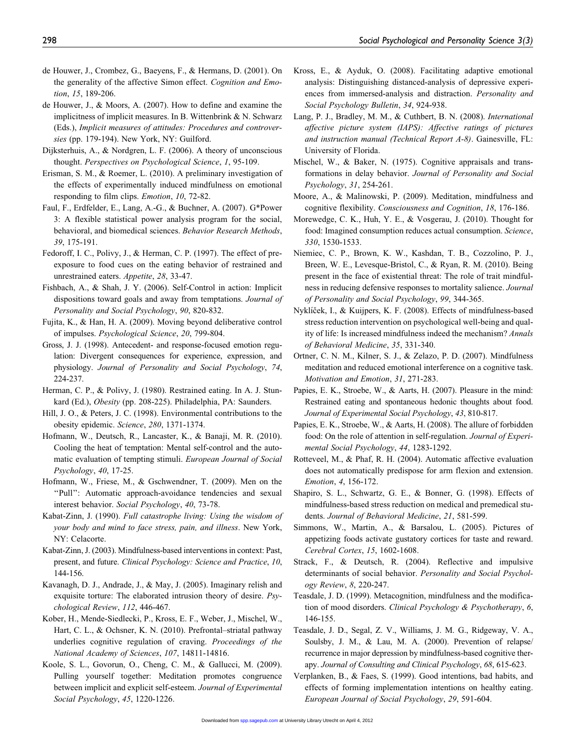- de Houwer, J., Crombez, G., Baeyens, F., & Hermans, D. (2001). On the generality of the affective Simon effect. Cognition and Emotion, 15, 189-206.
- de Houwer, J., & Moors, A. (2007). How to define and examine the implicitness of implicit measures. In B. Wittenbrink & N. Schwarz (Eds.), Implicit measures of attitudes: Procedures and controversies (pp. 179-194). New York, NY: Guilford.
- Dijksterhuis, A., & Nordgren, L. F. (2006). A theory of unconscious thought. Perspectives on Psychological Science, 1, 95-109.
- Erisman, S. M., & Roemer, L. (2010). A preliminary investigation of the effects of experimentally induced mindfulness on emotional responding to film clips. Emotion, 10, 72-82.
- Faul, F., Erdfelder, E., Lang, A.-G., & Buchner, A. (2007). G\*Power 3: A flexible statistical power analysis program for the social, behavioral, and biomedical sciences. Behavior Research Methods, 39, 175-191.
- Fedoroff, I. C., Polivy, J., & Herman, C. P. (1997). The effect of preexposure to food cues on the eating behavior of restrained and unrestrained eaters. Appetite, 28, 33-47.
- Fishbach, A., & Shah, J. Y. (2006). Self-Control in action: Implicit dispositions toward goals and away from temptations. Journal of Personality and Social Psychology, 90, 820-832.
- Fujita, K., & Han, H. A. (2009). Moving beyond deliberative control of impulses. Psychological Science, 20, 799-804.
- Gross, J. J. (1998). Antecedent- and response-focused emotion regulation: Divergent consequences for experience, expression, and physiology. Journal of Personality and Social Psychology, 74, 224-237.
- Herman, C. P., & Polivy, J. (1980). Restrained eating. In A. J. Stunkard (Ed.), Obesity (pp. 208-225). Philadelphia, PA: Saunders.
- Hill, J. O., & Peters, J. C. (1998). Environmental contributions to the obesity epidemic. Science, 280, 1371-1374.
- Hofmann, W., Deutsch, R., Lancaster, K., & Banaji, M. R. (2010). Cooling the heat of temptation: Mental self-control and the automatic evaluation of tempting stimuli. European Journal of Social Psychology, 40, 17-25.
- Hofmann, W., Friese, M., & Gschwendner, T. (2009). Men on the ''Pull'': Automatic approach-avoidance tendencies and sexual interest behavior. Social Psychology, 40, 73-78.
- Kabat-Zinn, J. (1990). Full catastrophe living: Using the wisdom of your body and mind to face stress, pain, and illness. New York, NY: Celacorte.
- Kabat-Zinn, J. (2003). Mindfulness-based interventions in context: Past, present, and future. Clinical Psychology: Science and Practice, 10, 144-156.
- Kavanagh, D. J., Andrade, J., & May, J. (2005). Imaginary relish and exquisite torture: The elaborated intrusion theory of desire. Psychological Review, 112, 446-467.
- Kober, H., Mende-Siedlecki, P., Kross, E. F., Weber, J., Mischel, W., Hart, C. L., & Ochsner, K. N. (2010). Prefrontal–striatal pathway underlies cognitive regulation of craving. Proceedings of the National Academy of Sciences, 107, 14811-14816.
- Koole, S. L., Govorun, O., Cheng, C. M., & Gallucci, M. (2009). Pulling yourself together: Meditation promotes congruence between implicit and explicit self-esteem. Journal of Experimental Social Psychology, 45, 1220-1226.
- Kross, E., & Ayduk, O. (2008). Facilitating adaptive emotional analysis: Distinguishing distanced-analysis of depressive experiences from immersed-analysis and distraction. Personality and Social Psychology Bulletin, 34, 924-938.
- Lang, P. J., Bradley, M. M., & Cuthbert, B. N. (2008). International affective picture system (IAPS): Affective ratings of pictures and instruction manual (Technical Report A-8). Gainesville, FL: University of Florida.
- Mischel, W., & Baker, N. (1975). Cognitive appraisals and transformations in delay behavior. Journal of Personality and Social Psychology, 31, 254-261.
- Moore, A., & Malinowski, P. (2009). Meditation, mindfulness and cognitive flexibility. Consciousness and Cognition, 18, 176-186.
- Morewedge, C. K., Huh, Y. E., & Vosgerau, J. (2010). Thought for food: Imagined consumption reduces actual consumption. Science, 330, 1530-1533.
- Niemiec, C. P., Brown, K. W., Kashdan, T. B., Cozzolino, P. J., Breen, W. E., Levesque-Bristol, C., & Ryan, R. M. (2010). Being present in the face of existential threat: The role of trait mindfulness in reducing defensive responses to mortality salience. Journal of Personality and Social Psychology, 99, 344-365.
- Nyklíček, I., & Kuijpers, K. F. (2008). Effects of mindfulness-based stress reduction intervention on psychological well-being and quality of life: Is increased mindfulness indeed the mechanism? Annals of Behavioral Medicine, 35, 331-340.
- Ortner, C. N. M., Kilner, S. J., & Zelazo, P. D. (2007). Mindfulness meditation and reduced emotional interference on a cognitive task. Motivation and Emotion, 31, 271-283.
- Papies, E. K., Stroebe, W., & Aarts, H. (2007). Pleasure in the mind: Restrained eating and spontaneous hedonic thoughts about food. Journal of Experimental Social Psychology, 43, 810-817.
- Papies, E. K., Stroebe, W., & Aarts, H. (2008). The allure of forbidden food: On the role of attention in self-regulation. Journal of Experimental Social Psychology, 44, 1283-1292.
- Rotteveel, M., & Phaf, R. H. (2004). Automatic affective evaluation does not automatically predispose for arm flexion and extension. Emotion, 4, 156-172.
- Shapiro, S. L., Schwartz, G. E., & Bonner, G. (1998). Effects of mindfulness-based stress reduction on medical and premedical students. Journal of Behavioral Medicine, 21, 581-599.
- Simmons, W., Martin, A., & Barsalou, L. (2005). Pictures of appetizing foods activate gustatory cortices for taste and reward. Cerebral Cortex, 15, 1602-1608.
- Strack, F., & Deutsch, R. (2004). Reflective and impulsive determinants of social behavior. Personality and Social Psychology Review, 8, 220-247.
- Teasdale, J. D. (1999). Metacognition, mindfulness and the modification of mood disorders. Clinical Psychology & Psychotherapy, 6, 146-155.
- Teasdale, J. D., Segal, Z. V., Williams, J. M. G., Ridgeway, V. A., Soulsby, J. M., & Lau, M. A. (2000). Prevention of relapse/ recurrence in major depression by mindfulness-based cognitive therapy. Journal of Consulting and Clinical Psychology, 68, 615-623.
- Verplanken, B., & Faes, S. (1999). Good intentions, bad habits, and effects of forming implementation intentions on healthy eating. European Journal of Social Psychology, 29, 591-604.